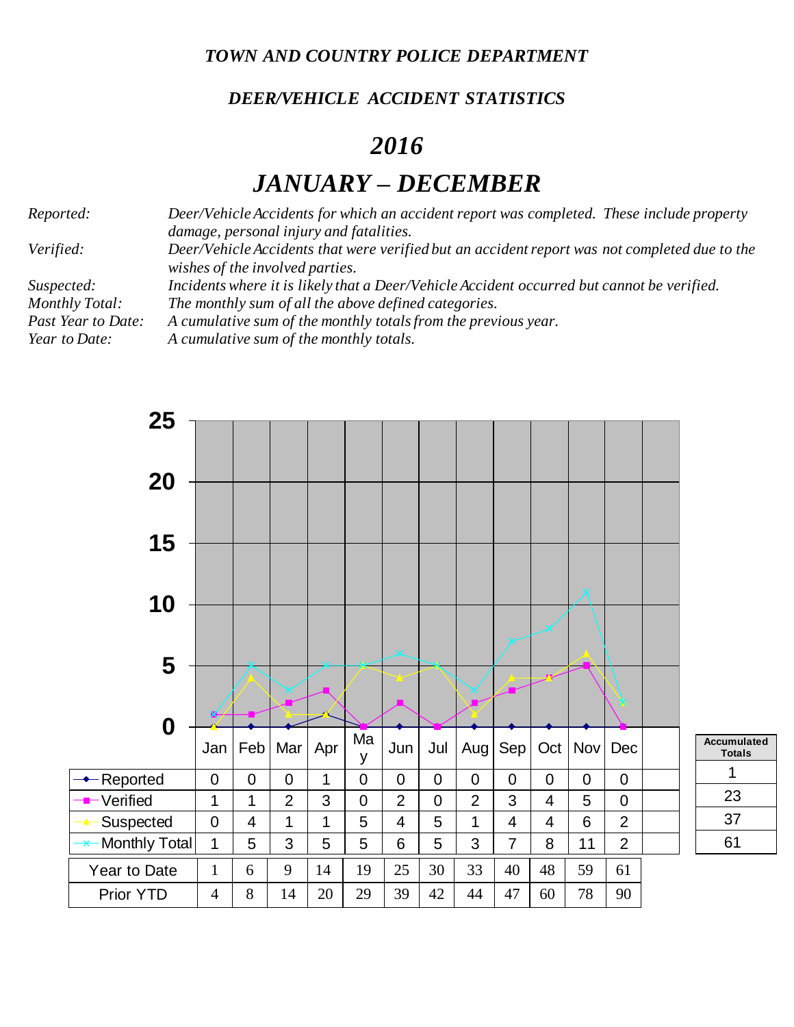*TOWN AND COUNTRY POLICE DEPARTMENT*

## *DEER/VEHICLE ACCIDENT STATISTICS*

## *2016*

## *JANUARY – DECEMBER*

*Reported: Deer/Vehicle Accidents for which an accident report was completed. These include property damage, personal injury and fatalities. Verified: Deer/Vehicle Accidents that were verified but an accident report was not completed due to the wishes of the involved parties. Suspected: Incidents where it is likely that a Deer/Vehicle Accident occurred but cannot be verified. Monthly Total: The monthly sum of all the above defined categories. Past Year to Date: A cumulative sum of the monthly totals from the previous year. Year to Date: A cumulative sum of the monthly totals.*

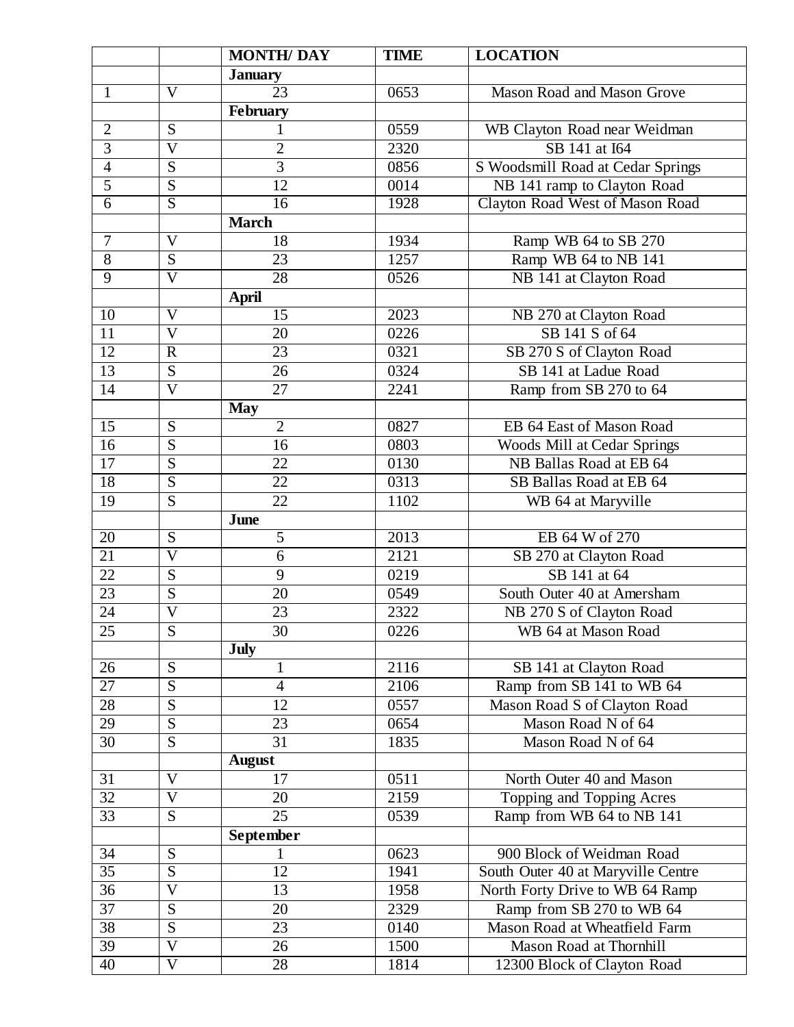|                 |                           | <b>MONTH/DAY</b> | <b>TIME</b> | <b>LOCATION</b>                    |
|-----------------|---------------------------|------------------|-------------|------------------------------------|
|                 |                           | <b>January</b>   |             |                                    |
| 1               | $\overline{\mathrm{V}}$   | 23               | 0653        | <b>Mason Road and Mason Grove</b>  |
|                 |                           | <b>February</b>  |             |                                    |
| $\overline{2}$  | S                         |                  | 0559        | WB Clayton Road near Weidman       |
| $\overline{3}$  | $\overline{\overline{V}}$ | $\overline{2}$   | 2320        | SB 141 at I64                      |
| $\overline{4}$  | S                         | $\overline{3}$   | 0856        | S Woodsmill Road at Cedar Springs  |
| $\overline{5}$  | S                         | 12               | 0014        | NB 141 ramp to Clayton Road        |
| $\overline{6}$  | $\overline{S}$            | 16               | 1928        | Clayton Road West of Mason Road    |
|                 |                           | <b>March</b>     |             |                                    |
| $\tau$          | $\mathbf V$               | 18               | 1934        | Ramp WB 64 to SB 270               |
| $8\,$           | S                         | 23               | 1257        | Ramp WB 64 to NB 141               |
| 9               | $\overline{\rm V}$        | $\overline{28}$  | 0526        | NB 141 at Clayton Road             |
|                 |                           | April            |             |                                    |
| 10              | $\overline{\mathrm{V}}$   | $\overline{15}$  | 2023        | NB 270 at Clayton Road             |
| 11              | $\overline{\mathsf{V}}$   | 20               | 0226        | SB 141 S of 64                     |
| $\overline{12}$ | $\mathbf R$               | 23               | 0321        | SB 270 S of Clayton Road           |
| $\overline{13}$ | $\overline{S}$            | 26               | 0324        | SB 141 at Ladue Road               |
| 14              | $\mathbf V$               | 27               | 2241        | Ramp from SB 270 to 64             |
|                 |                           | <b>May</b>       |             |                                    |
| $\overline{15}$ | $\overline{S}$            | $\overline{2}$   | 0827        | EB 64 East of Mason Road           |
| $\overline{16}$ | S                         | 16               | 0803        | Woods Mill at Cedar Springs        |
| $\overline{17}$ | S                         | 22               | 0130        | NB Ballas Road at EB 64            |
| $\overline{18}$ | $\overline{S}$            | $\overline{22}$  | 0313        | SB Ballas Road at EB 64            |
| 19              | S                         | $\overline{22}$  | 1102        | WB 64 at Maryville                 |
|                 |                           | June             |             |                                    |
| 20              | $\overline{S}$            | $\overline{5}$   | 2013        | EB 64 W of 270                     |
| $\overline{21}$ | $\overline{\mathsf{V}}$   | 6                | 2121        | SB 270 at Clayton Road             |
| 22              | S                         | 9                | 0219        | SB 141 at 64                       |
| $\overline{23}$ | S                         | 20               | 0549        | South Outer 40 at Amersham         |
| $\overline{24}$ | $\overline{\text{V}}$     | 23               | 2322        | NB 270 S of Clayton Road           |
| $\overline{25}$ | $\overline{S}$            | $\overline{30}$  | 0226        | WB 64 at Mason Road                |
|                 |                           | <b>July</b>      |             |                                    |
| 26              | S                         | $\mathbf{1}$     | 2116        | SB 141 at Clayton Road             |
| 27              | S                         | $\overline{4}$   | 2106        | Ramp from SB 141 to WB 64          |
| $\overline{28}$ | S                         | 12               | 0557        | Mason Road S of Clayton Road       |
| 29              | S                         | 23               | 0654        | Mason Road N of 64                 |
| 30              | S                         | $\overline{31}$  | 1835        | Mason Road N of 64                 |
|                 |                           | <b>August</b>    |             |                                    |
| 31              | V                         | 17               | 0511        | North Outer 40 and Mason           |
| $\overline{32}$ | $\overline{\mathsf{V}}$   | 20               | 2159        | Topping and Topping Acres          |
| $\overline{33}$ | $\overline{S}$            | $\overline{25}$  | 0539        | Ramp from WB 64 to NB 141          |
|                 |                           | September        |             |                                    |
| 34              | S                         |                  | 0623        | 900 Block of Weidman Road          |
| $\overline{35}$ | $\overline{S}$            | $\overline{12}$  | 1941        | South Outer 40 at Maryville Centre |
| $\overline{36}$ | $\overline{\mathsf{V}}$   | $\overline{13}$  | 1958        | North Forty Drive to WB 64 Ramp    |
| 37              | ${\bf S}$                 | 20               | 2329        | Ramp from SB 270 to WB 64          |
| 38              | S                         | 23               | 0140        | Mason Road at Wheatfield Farm      |
| $\overline{39}$ | $\overline{\overline{V}}$ | 26               | 1500        | Mason Road at Thornhill            |
| 40              | $\overline{\mathsf{V}}$   | 28               | 1814        | 12300 Block of Clayton Road        |